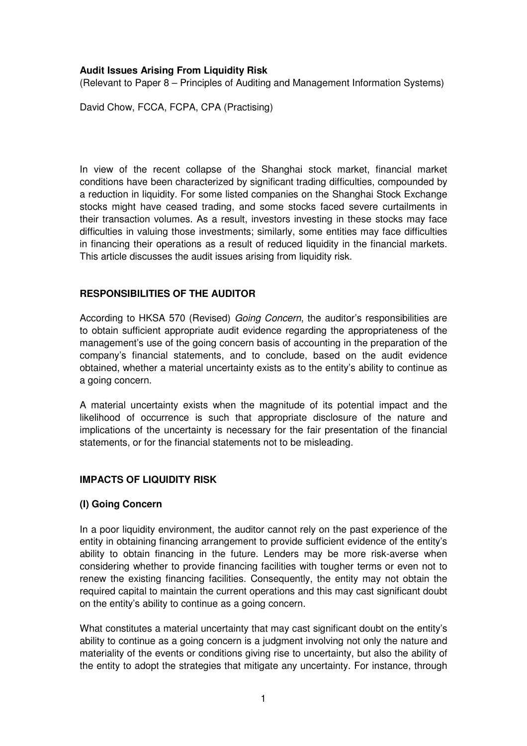## **Audit Issues Arising From Liquidity Risk**

(Relevant to Paper 8 – Principles of Auditing and Management Information Systems)

David Chow, FCCA, FCPA, CPA (Practising)

In view of the recent collapse of the Shanghai stock market, financial market conditions have been characterized by significant trading difficulties, compounded by a reduction in liquidity. For some listed companies on the Shanghai Stock Exchange stocks might have ceased trading, and some stocks faced severe curtailments in their transaction volumes. As a result, investors investing in these stocks may face difficulties in valuing those investments; similarly, some entities may face difficulties in financing their operations as a result of reduced liquidity in the financial markets. This article discusses the audit issues arising from liquidity risk.

# **RESPONSIBILITIES OF THE AUDITOR**

According to HKSA 570 (Revised) Going Concern, the auditor's responsibilities are to obtain sufficient appropriate audit evidence regarding the appropriateness of the management's use of the going concern basis of accounting in the preparation of the company's financial statements, and to conclude, based on the audit evidence obtained, whether a material uncertainty exists as to the entity's ability to continue as a going concern.

A material uncertainty exists when the magnitude of its potential impact and the likelihood of occurrence is such that appropriate disclosure of the nature and implications of the uncertainty is necessary for the fair presentation of the financial statements, or for the financial statements not to be misleading.

#### **IMPACTS OF LIQUIDITY RISK**

#### **(I) Going Concern**

In a poor liquidity environment, the auditor cannot rely on the past experience of the entity in obtaining financing arrangement to provide sufficient evidence of the entity's ability to obtain financing in the future. Lenders may be more risk-averse when considering whether to provide financing facilities with tougher terms or even not to renew the existing financing facilities. Consequently, the entity may not obtain the required capital to maintain the current operations and this may cast significant doubt on the entity's ability to continue as a going concern.

What constitutes a material uncertainty that may cast significant doubt on the entity's ability to continue as a going concern is a judgment involving not only the nature and materiality of the events or conditions giving rise to uncertainty, but also the ability of the entity to adopt the strategies that mitigate any uncertainty. For instance, through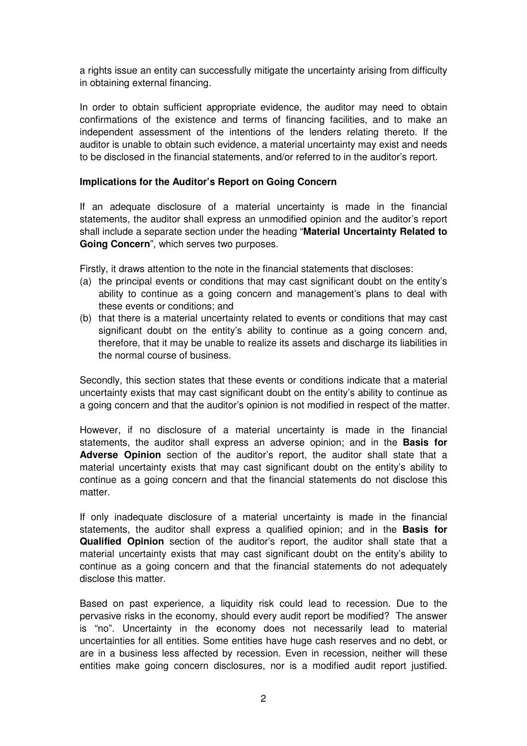a rights issue an entity can successfully mitigate the uncertainty arising from difficulty in obtaining external financing.

In order to obtain sufficient appropriate evidence, the auditor may need to obtain confirmations of the existence and terms of financing facilities, and to make an independent assessment of the intentions of the lenders relating thereto. If the auditor is unable to obtain such evidence, a material uncertainty may exist and needs to be disclosed in the financial statements, and/or referred to in the auditor's report.

### **Implications for the Auditor's Report on Going Concern**

If an adequate disclosure of a material uncertainty is made in the financial statements, the auditor shall express an unmodified opinion and the auditor's report shall include a separate section under the heading "**Material Uncertainty Related to Going Concern**", which serves two purposes.

Firstly, it draws attention to the note in the financial statements that discloses:

- (a) the principal events or conditions that may cast significant doubt on the entity's ability to continue as a going concern and management's plans to deal with these events or conditions; and
- (b) that there is a material uncertainty related to events or conditions that may cast significant doubt on the entity's ability to continue as a going concern and, therefore, that it may be unable to realize its assets and discharge its liabilities in the normal course of business.

Secondly, this section states that these events or conditions indicate that a material uncertainty exists that may cast significant doubt on the entity's ability to continue as a going concern and that the auditor's opinion is not modified in respect of the matter.

However, if no disclosure of a material uncertainty is made in the financial statements, the auditor shall express an adverse opinion; and in the **Basis for Adverse Opinion** section of the auditor's report, the auditor shall state that a material uncertainty exists that may cast significant doubt on the entity's ability to continue as a going concern and that the financial statements do not disclose this matter.

If only inadequate disclosure of a material uncertainty is made in the financial statements, the auditor shall express a qualified opinion; and in the **Basis for Qualified Opinion** section of the auditor's report, the auditor shall state that a material uncertainty exists that may cast significant doubt on the entity's ability to continue as a going concern and that the financial statements do not adequately disclose this matter.

Based on past experience, a liquidity risk could lead to recession. Due to the pervasive risks in the economy, should every audit report be modified? The answer is "no". Uncertainty in the economy does not necessarily lead to material uncertainties for all entities. Some entities have huge cash reserves and no debt, or are in a business less affected by recession. Even in recession, neither will these entities make going concern disclosures, nor is a modified audit report justified.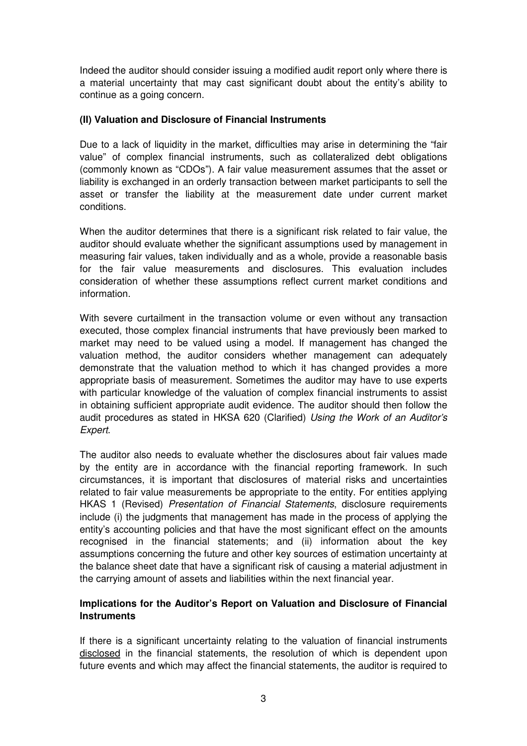Indeed the auditor should consider issuing a modified audit report only where there is a material uncertainty that may cast significant doubt about the entity's ability to continue as a going concern.

### **(II) Valuation and Disclosure of Financial Instruments**

Due to a lack of liquidity in the market, difficulties may arise in determining the "fair value" of complex financial instruments, such as collateralized debt obligations (commonly known as "CDOs"). A fair value measurement assumes that the asset or liability is exchanged in an orderly transaction between market participants to sell the asset or transfer the liability at the measurement date under current market conditions.

When the auditor determines that there is a significant risk related to fair value, the auditor should evaluate whether the significant assumptions used by management in measuring fair values, taken individually and as a whole, provide a reasonable basis for the fair value measurements and disclosures. This evaluation includes consideration of whether these assumptions reflect current market conditions and information.

With severe curtailment in the transaction volume or even without any transaction executed, those complex financial instruments that have previously been marked to market may need to be valued using a model. If management has changed the valuation method, the auditor considers whether management can adequately demonstrate that the valuation method to which it has changed provides a more appropriate basis of measurement. Sometimes the auditor may have to use experts with particular knowledge of the valuation of complex financial instruments to assist in obtaining sufficient appropriate audit evidence. The auditor should then follow the audit procedures as stated in HKSA 620 (Clarified) Using the Work of an Auditor's Expert.

The auditor also needs to evaluate whether the disclosures about fair values made by the entity are in accordance with the financial reporting framework. In such circumstances, it is important that disclosures of material risks and uncertainties related to fair value measurements be appropriate to the entity. For entities applying HKAS 1 (Revised) Presentation of Financial Statements, disclosure requirements include (i) the judgments that management has made in the process of applying the entity's accounting policies and that have the most significant effect on the amounts recognised in the financial statements; and (ii) information about the key assumptions concerning the future and other key sources of estimation uncertainty at the balance sheet date that have a significant risk of causing a material adjustment in the carrying amount of assets and liabilities within the next financial year.

### **Implications for the Auditor's Report on Valuation and Disclosure of Financial Instruments**

If there is a significant uncertainty relating to the valuation of financial instruments disclosed in the financial statements, the resolution of which is dependent upon future events and which may affect the financial statements, the auditor is required to